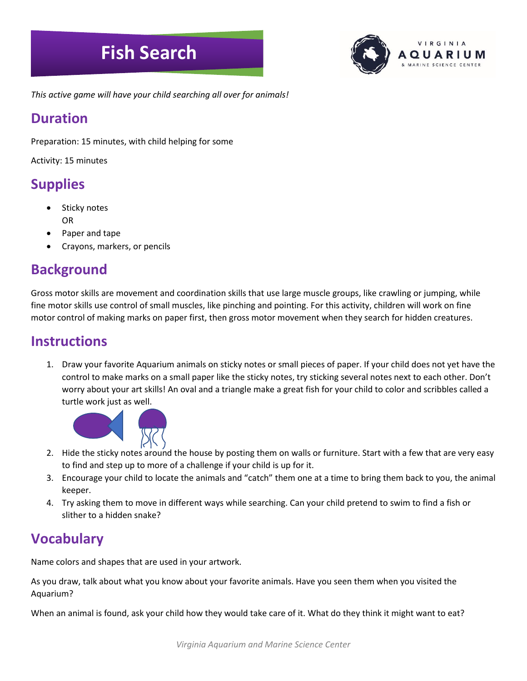# **Fish Search**



*This active game will have your child searching all over for animals!*

#### **Duration**

Preparation: 15 minutes, with child helping for some

Activity: 15 minutes

#### **Supplies**

- Sticky notes OR
- Paper and tape
- Crayons, markers, or pencils

#### **Background**

Gross motor skills are movement and coordination skills that use large muscle groups, like crawling or jumping, while fine motor skills use control of small muscles, like pinching and pointing. For this activity, children will work on fine motor control of making marks on paper first, then gross motor movement when they search for hidden creatures.

#### **Instructions**

1. Draw your favorite Aquarium animals on sticky notes or small pieces of paper. If your child does not yet have the control to make marks on a small paper like the sticky notes, try sticking several notes next to each other. Don't worry about your art skills! An oval and a triangle make a great fish for your child to color and scribbles called a turtle work just as well.



- 2. Hide the sticky notes around the house by posting them on walls or furniture. Start with a few that are very easy to find and step up to more of a challenge if your child is up for it.
- 3. Encourage your child to locate the animals and "catch" them one at a time to bring them back to you, the animal keeper.
- 4. Try asking them to move in different ways while searching. Can your child pretend to swim to find a fish or slither to a hidden snake?

### **Vocabulary**

Name colors and shapes that are used in your artwork.

As you draw, talk about what you know about your favorite animals. Have you seen them when you visited the Aquarium?

When an animal is found, ask your child how they would take care of it. What do they think it might want to eat?